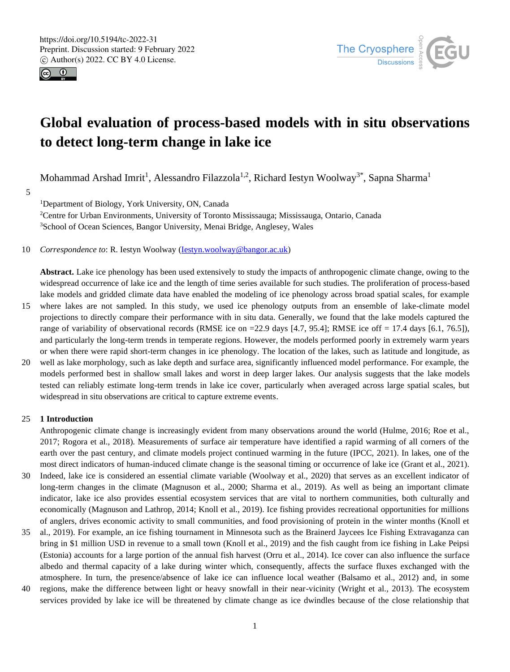



# **Global evaluation of process-based models with in situ observations to detect long-term change in lake ice**

Mohammad Arshad Imrit<sup>1</sup>, Alessandro Filazzola<sup>1,2</sup>, Richard Iestyn Woolway<sup>3\*</sup>, Sapna Sharma<sup>1</sup>

5

<sup>1</sup>Department of Biology, York University, ON, Canada

<sup>2</sup>Centre for Urban Environments, University of Toronto Mississauga; Mississauga, Ontario, Canada <sup>3</sup>School of Ocean Sciences, Bangor University, Menai Bridge, Anglesey, Wales

10 *Correspondence to*: R. Iestyn Woolway (*Iestyn.woolway@bangor.ac.uk*)

**Abstract.** Lake ice phenology has been used extensively to study the impacts of anthropogenic climate change, owing to the widespread occurrence of lake ice and the length of time series available for such studies. The proliferation of process-based lake models and gridded climate data have enabled the modeling of ice phenology across broad spatial scales, for example

- 15 where lakes are not sampled. In this study, we used ice phenology outputs from an ensemble of lake-climate model projections to directly compare their performance with in situ data. Generally, we found that the lake models captured the range of variability of observational records (RMSE ice on =22.9 days [4.7, 95.4]; RMSE ice off = 17.4 days [6.1, 76.5]), and particularly the long-term trends in temperate regions. However, the models performed poorly in extremely warm years or when there were rapid short-term changes in ice phenology. The location of the lakes, such as latitude and longitude, as
- 20 well as lake morphology, such as lake depth and surface area, significantly influenced model performance. For example, the models performed best in shallow small lakes and worst in deep larger lakes. Our analysis suggests that the lake models tested can reliably estimate long-term trends in lake ice cover, particularly when averaged across large spatial scales, but widespread in situ observations are critical to capture extreme events.

# 25 **1 Introduction**

Anthropogenic climate change is increasingly evident from many observations around the world (Hulme, 2016; Roe et al., 2017; Rogora et al., 2018). Measurements of surface air temperature have identified a rapid warming of all corners of the earth over the past century, and climate models project continued warming in the future (IPCC, 2021). In lakes, one of the most direct indicators of human-induced climate change is the seasonal timing or occurrence of lake ice (Grant et al., 2021).

- 30 Indeed, lake ice is considered an essential climate variable (Woolway et al., 2020) that serves as an excellent indicator of long-term changes in the climate (Magnuson et al., 2000; Sharma et al., 2019). As well as being an important climate indicator, lake ice also provides essential ecosystem services that are vital to northern communities, both culturally and economically (Magnuson and Lathrop, 2014; Knoll et al., 2019). Ice fishing provides recreational opportunities for millions of anglers, drives economic activity to small communities, and food provisioning of protein in the winter months (Knoll et
- 35 al., 2019). For example, an ice fishing tournament in Minnesota such as the Brainerd Jaycees Ice Fishing Extravaganza can bring in \$1 million USD in revenue to a small town (Knoll et al., 2019) and the fish caught from ice fishing in Lake Peipsi (Estonia) accounts for a large portion of the annual fish harvest (Orru et al., 2014). Ice cover can also influence the surface albedo and thermal capacity of a lake during winter which, consequently, affects the surface fluxes exchanged with the atmosphere. In turn, the presence/absence of lake ice can influence local weather (Balsamo et al., 2012) and, in some
- 40 regions, make the difference between light or heavy snowfall in their near-vicinity (Wright et al., 2013). The ecosystem services provided by lake ice will be threatened by climate change as ice dwindles because of the close relationship that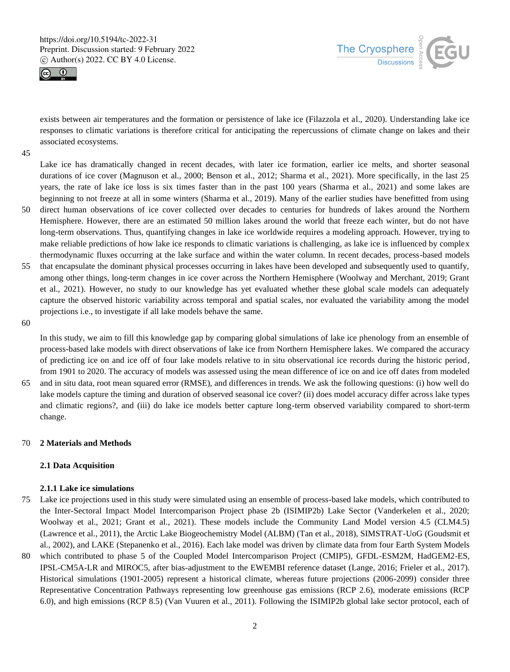



exists between air temperatures and the formation or persistence of lake ice (Filazzola et al., 2020). Understanding lake ice responses to climatic variations is therefore critical for anticipating the repercussions of climate change on lakes and their associated ecosystems.

45

Lake ice has dramatically changed in recent decades, with later ice formation, earlier ice melts, and shorter seasonal durations of ice cover (Magnuson et al., 2000; Benson et al., 2012; Sharma et al., 2021). More specifically, in the last 25 years, the rate of lake ice loss is six times faster than in the past 100 years (Sharma et al., 2021) and some lakes are beginning to not freeze at all in some winters (Sharma et al., 2019). Many of the earlier studies have benefitted from using 50 direct human observations of ice cover collected over decades to centuries for hundreds of lakes around the Northern

- Hemisphere. However, there are an estimated 50 million lakes around the world that freeze each winter, but do not have long-term observations. Thus, quantifying changes in lake ice worldwide requires a modeling approach. However, trying to make reliable predictions of how lake ice responds to climatic variations is challenging, as lake ice is influenced by complex thermodynamic fluxes occurring at the lake surface and within the water column. In recent decades, process-based models
- 55 that encapsulate the dominant physical processes occurring in lakes have been developed and subsequently used to quantify, among other things, long-term changes in ice cover across the Northern Hemisphere (Woolway and Merchant, 2019; Grant et al., 2021). However, no study to our knowledge has yet evaluated whether these global scale models can adequately capture the observed historic variability across temporal and spatial scales, nor evaluated the variability among the model projections i.e., to investigate if all lake models behave the same.
- 60

In this study, we aim to fill this knowledge gap by comparing global simulations of lake ice phenology from an ensemble of process-based lake models with direct observations of lake ice from Northern Hemisphere lakes. We compared the accuracy of predicting ice on and ice off of four lake models relative to in situ observational ice records during the historic period, from 1901 to 2020. The accuracy of models was assessed using the mean difference of ice on and ice off dates from modeled

65 and in situ data, root mean squared error (RMSE), and differences in trends. We ask the following questions: (i) how well do lake models capture the timing and duration of observed seasonal ice cover? (ii) does model accuracy differ across lake types and climatic regions?, and (iii) do lake ice models better capture long-term observed variability compared to short-term change.

# 70 **2 Materials and Methods**

# **2.1 Data Acquisition**

# **2.1.1 Lake ice simulations**

- 75 Lake ice projections used in this study were simulated using an ensemble of process-based lake models, which contributed to the Inter-Sectoral Impact Model Intercomparison Project phase 2b (ISIMIP2b) Lake Sector (Vanderkelen et al., 2020; Woolway et al., 2021; Grant et al., 2021). These models include the Community Land Model version 4.5 (CLM4.5) (Lawrence et al., 2011), the Arctic Lake Biogeochemistry Model (ALBM) (Tan et al., 2018), SIMSTRAT-UoG (Goudsmit et al., 2002), and LAKE (Stepanenko et al., 2016). Each lake model was driven by climate data from four Earth System Models
- 80 which contributed to phase 5 of the Coupled Model Intercomparison Project (CMIP5), GFDL-ESM2M, HadGEM2-ES, IPSL-CM5A-LR and MIROC5, after bias-adjustment to the EWEMBI reference dataset (Lange, 2016; Frieler et al., 2017). Historical simulations (1901-2005) represent a historical climate, whereas future projections (2006-2099) consider three Representative Concentration Pathways representing low greenhouse gas emissions (RCP 2.6), moderate emissions (RCP 6.0), and high emissions (RCP 8.5) (Van Vuuren et al., 2011). Following the ISIMIP2b global lake sector protocol, each of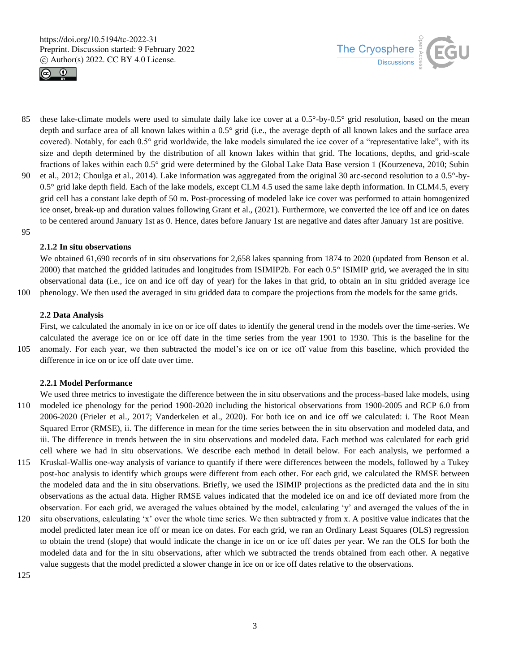



- 85 these lake-climate models were used to simulate daily lake ice cover at a  $0.5^{\circ}$ -by- $0.5^{\circ}$  grid resolution, based on the mean depth and surface area of all known lakes within a 0.5° grid (i.e., the average depth of all known lakes and the surface area covered). Notably, for each 0.5° grid worldwide, the lake models simulated the ice cover of a "representative lake", with its size and depth determined by the distribution of all known lakes within that grid. The locations, depths, and grid-scale fractions of lakes within each 0.5° grid were determined by the Global Lake Data Base version 1 (Kourzeneva, 2010; Subin 90 et al., 2012; Choulga et al., 2014). Lake information was aggregated from the original 30 arc-second resolution to a 0.5°-by-
- 0.5° grid lake depth field. Each of the lake models, except CLM 4.5 used the same lake depth information. In CLM4.5, every grid cell has a constant lake depth of 50 m. Post-processing of modeled lake ice cover was performed to attain homogenized ice onset, break-up and duration values following Grant et al., (2021). Furthermore, we converted the ice off and ice on dates to be centered around January 1st as 0. Hence, dates before January 1st are negative and dates after January 1st are positive. 95

# **2.1.2 In situ observations**

We obtained 61,690 records of in situ observations for 2,658 lakes spanning from 1874 to 2020 (updated from Benson et al. 2000) that matched the gridded latitudes and longitudes from ISIMIP2b. For each 0.5° ISIMIP grid, we averaged the in situ observational data (i.e., ice on and ice off day of year) for the lakes in that grid, to obtain an in situ gridded average ice

100 phenology. We then used the averaged in situ gridded data to compare the projections from the models for the same grids.

#### **2.2 Data Analysis**

First, we calculated the anomaly in ice on or ice off dates to identify the general trend in the models over the time-series. We calculated the average ice on or ice off date in the time series from the year 1901 to 1930. This is the baseline for the 105 anomaly. For each year, we then subtracted the model's ice on or ice off value from this baseline, which provided the difference in ice on or ice off date over time.

#### **2.2.1 Model Performance**

We used three metrics to investigate the difference between the in situ observations and the process-based lake models, using 110 modeled ice phenology for the period 1900-2020 including the historical observations from 1900-2005 and RCP 6.0 from 2006-2020 (Frieler et al., 2017; Vanderkelen et al., 2020). For both ice on and ice off we calculated: i. The Root Mean Squared Error (RMSE), ii. The difference in mean for the time series between the in situ observation and modeled data, and iii. The difference in trends between the in situ observations and modeled data. Each method was calculated for each grid cell where we had in situ observations. We describe each method in detail below. For each analysis, we performed a

- 115 Kruskal-Wallis one-way analysis of variance to quantify if there were differences between the models, followed by a Tukey post-hoc analysis to identify which groups were different from each other. For each grid, we calculated the RMSE between the modeled data and the in situ observations. Briefly, we used the ISIMIP projections as the predicted data and the in situ observations as the actual data. Higher RMSE values indicated that the modeled ice on and ice off deviated more from the observation. For each grid, we averaged the values obtained by the model, calculating 'y' and averaged the values of the in
- 120 situ observations, calculating 'x' over the whole time series. We then subtracted y from x. A positive value indicates that the model predicted later mean ice off or mean ice on dates. For each grid, we ran an Ordinary Least Squares (OLS) regression to obtain the trend (slope) that would indicate the change in ice on or ice off dates per year. We ran the OLS for both the modeled data and for the in situ observations, after which we subtracted the trends obtained from each other. A negative value suggests that the model predicted a slower change in ice on or ice off dates relative to the observations.

125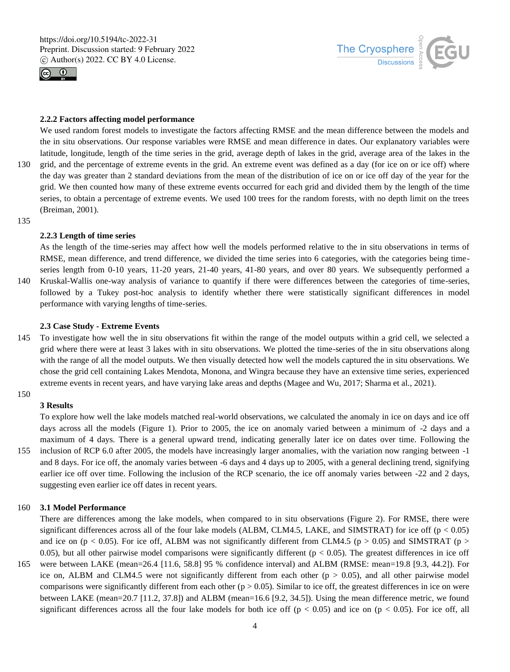



#### **2.2.2 Factors affecting model performance**

We used random forest models to investigate the factors affecting RMSE and the mean difference between the models and the in situ observations. Our response variables were RMSE and mean difference in dates. Our explanatory variables were latitude, longitude, length of the time series in the grid, average depth of lakes in the grid, average area of the lakes in the 130 grid, and the percentage of extreme events in the grid. An extreme event was defined as a day (for ice on or ice off) where the day was greater than 2 standard deviations from the mean of the distribution of ice on or ice off day of the year for the grid. We then counted how many of these extreme events occurred for each grid and divided them by the length of the time series, to obtain a percentage of extreme events. We used 100 trees for the random forests, with no depth limit on the trees (Breiman, 2001).

135

#### **2.2.3 Length of time series**

As the length of the time-series may affect how well the models performed relative to the in situ observations in terms of RMSE, mean difference, and trend difference, we divided the time series into 6 categories, with the categories being timeseries length from 0-10 years, 11-20 years, 21-40 years, 41-80 years, and over 80 years. We subsequently performed a 140 Kruskal-Wallis one-way analysis of variance to quantify if there were differences between the categories of time-series, followed by a Tukey post-hoc analysis to identify whether there were statistically significant differences in model performance with varying lengths of time-series.

#### **2.3 Case Study - Extreme Events**

145 To investigate how well the in situ observations fit within the range of the model outputs within a grid cell, we selected a grid where there were at least 3 lakes with in situ observations. We plotted the time-series of the in situ observations along with the range of all the model outputs. We then visually detected how well the models captured the in situ observations. We chose the grid cell containing Lakes Mendota, Monona, and Wingra because they have an extensive time series, experienced extreme events in recent years, and have varying lake areas and depths (Magee and Wu, 2017; Sharma et al., 2021).

#### 150

## **3 Results**

To explore how well the lake models matched real-world observations, we calculated the anomaly in ice on days and ice off days across all the models (Figure 1). Prior to 2005, the ice on anomaly varied between a minimum of -2 days and a maximum of 4 days. There is a general upward trend, indicating generally later ice on dates over time. Following the

155 inclusion of RCP 6.0 after 2005, the models have increasingly larger anomalies, with the variation now ranging between -1 and 8 days. For ice off, the anomaly varies between -6 days and 4 days up to 2005, with a general declining trend, signifying earlier ice off over time. Following the inclusion of the RCP scenario, the ice off anomaly varies between -22 and 2 days, suggesting even earlier ice off dates in recent years.

#### 160 **3.1 Model Performance**

There are differences among the lake models, when compared to in situ observations (Figure 2). For RMSE, there were significant differences across all of the four lake models (ALBM, CLM4.5, LAKE, and SIMSTRAT) for ice off ( $p < 0.05$ ) and ice on (p < 0.05). For ice off, ALBM was not significantly different from CLM4.5 (p > 0.05) and SIMSTRAT (p > 0.05), but all other pairwise model comparisons were significantly different  $(p < 0.05)$ . The greatest differences in ice off

165 were between LAKE (mean=26.4 [11.6, 58.8] 95 % confidence interval) and ALBM (RMSE: mean=19.8 [9.3, 44.2]). For ice on, ALBM and CLM4.5 were not significantly different from each other ( $p > 0.05$ ), and all other pairwise model comparisons were significantly different from each other  $(p > 0.05)$ . Similar to ice off, the greatest differences in ice on were between LAKE (mean=20.7 [11.2, 37.8]) and ALBM (mean=16.6 [9.2, 34.5]). Using the mean difference metric, we found significant differences across all the four lake models for both ice off  $(p < 0.05)$  and ice on  $(p < 0.05)$ . For ice off, all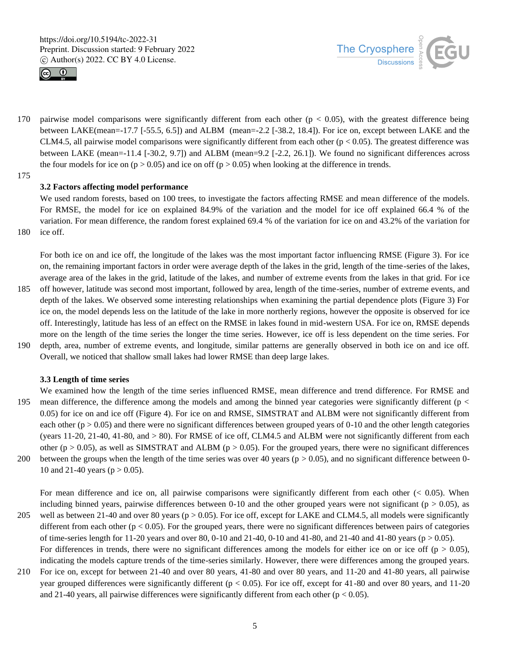



170 pairwise model comparisons were significantly different from each other  $(p < 0.05)$ , with the greatest difference being between LAKE(mean=-17.7 [-55.5, 6.5]) and ALBM (mean=-2.2 [-38.2, 18.4]). For ice on, except between LAKE and the CLM4.5, all pairwise model comparisons were significantly different from each other ( $p < 0.05$ ). The greatest difference was between LAKE (mean=-11.4 [-30.2, 9.7]) and ALBM (mean=9.2 [-2.2, 26.1]). We found no significant differences across the four models for ice on ( $p > 0.05$ ) and ice on off ( $p > 0.05$ ) when looking at the difference in trends.

175

#### **3.2 Factors affecting model performance**

We used random forests, based on 100 trees, to investigate the factors affecting RMSE and mean difference of the models. For RMSE, the model for ice on explained 84.9% of the variation and the model for ice off explained 66.4 % of the variation. For mean difference, the random forest explained 69.4 % of the variation for ice on and 43.2% of the variation for 180 ice off.

For both ice on and ice off, the longitude of the lakes was the most important factor influencing RMSE (Figure 3). For ice on, the remaining important factors in order were average depth of the lakes in the grid, length of the time-series of the lakes, average area of the lakes in the grid, latitude of the lakes, and number of extreme events from the lakes in that grid. For ice

- 185 off however, latitude was second most important, followed by area, length of the time-series, number of extreme events, and depth of the lakes. We observed some interesting relationships when examining the partial dependence plots (Figure 3) For ice on, the model depends less on the latitude of the lake in more northerly regions, however the opposite is observed for ice off. Interestingly, latitude has less of an effect on the RMSE in lakes found in mid-western USA. For ice on, RMSE depends more on the length of the time series the longer the time series. However, ice off is less dependent on the time series. For
- 190 depth, area, number of extreme events, and longitude, similar patterns are generally observed in both ice on and ice off. Overall, we noticed that shallow small lakes had lower RMSE than deep large lakes.

#### **3.3 Length of time series**

- We examined how the length of the time series influenced RMSE, mean difference and trend difference. For RMSE and 195 mean difference, the difference among the models and among the binned year categories were significantly different (p < 0.05) for ice on and ice off (Figure 4). For ice on and RMSE, SIMSTRAT and ALBM were not significantly different from each other  $(p > 0.05)$  and there were no significant differences between grouped years of 0-10 and the other length categories (years 11-20, 21-40, 41-80, and > 80). For RMSE of ice off, CLM4.5 and ALBM were not significantly different from each other ( $p > 0.05$ ), as well as SIMSTRAT and ALBM ( $p > 0.05$ ). For the grouped years, there were no significant differences
- 200 between the groups when the length of the time series was over 40 years ( $p > 0.05$ ), and no significant difference between 0-10 and 21-40 years ( $p > 0.05$ ).

For mean difference and ice on, all pairwise comparisons were significantly different from each other  $(< 0.05)$ . When including binned years, pairwise differences between 0-10 and the other grouped years were not significant ( $p > 0.05$ ), as 205 well as between 21-40 and over 80 years ( $p > 0.05$ ). For ice off, except for LAKE and CLM4.5, all models were significantly different from each other ( $p < 0.05$ ). For the grouped years, there were no significant differences between pairs of categories of time-series length for  $11-20$  years and over 80, 0-10 and 21-40, 0-10 and 41-80, and 21-40 and 41-80 years ( $p > 0.05$ ).

For differences in trends, there were no significant differences among the models for either ice on or ice off ( $p > 0.05$ ), indicating the models capture trends of the time-series similarly. However, there were differences among the grouped years.

210 For ice on, except for between 21-40 and over 80 years, 41-80 and over 80 years, and 11-20 and 41-80 years, all pairwise year grouped differences were significantly different ( $p < 0.05$ ). For ice off, except for 41-80 and over 80 years, and 11-20 and 21-40 years, all pairwise differences were significantly different from each other ( $p < 0.05$ ).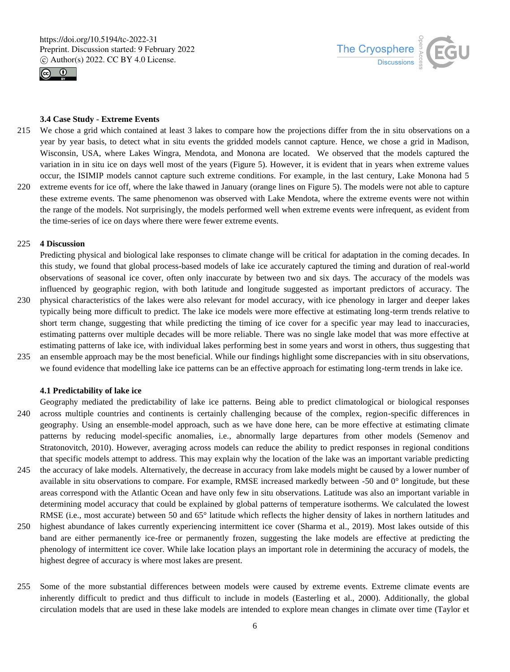



#### **3.4 Case Study - Extreme Events**

215 We chose a grid which contained at least 3 lakes to compare how the projections differ from the in situ observations on a year by year basis, to detect what in situ events the gridded models cannot capture. Hence, we chose a grid in Madison, Wisconsin, USA, where Lakes Wingra, Mendota, and Monona are located. We observed that the models captured the variation in in situ ice on days well most of the years (Figure 5). However, it is evident that in years when extreme values occur, the ISIMIP models cannot capture such extreme conditions. For example, in the last century, Lake Monona had 5 220 extreme events for ice off, where the lake thawed in January (orange lines on Figure 5). The models were not able to capture these extreme events. The same phenomenon was observed with Lake Mendota, where the extreme events were not within the range of the models. Not surprisingly, the models performed well when extreme events were infrequent, as evident from the time-series of ice on days where there were fewer extreme events.

#### 225 **4 Discussion**

Predicting physical and biological lake responses to climate change will be critical for adaptation in the coming decades. In this study, we found that global process-based models of lake ice accurately captured the timing and duration of real-world observations of seasonal ice cover, often only inaccurate by between two and six days. The accuracy of the models was influenced by geographic region, with both latitude and longitude suggested as important predictors of accuracy. The

- 230 physical characteristics of the lakes were also relevant for model accuracy, with ice phenology in larger and deeper lakes typically being more difficult to predict. The lake ice models were more effective at estimating long-term trends relative to short term change, suggesting that while predicting the timing of ice cover for a specific year may lead to inaccuracies, estimating patterns over multiple decades will be more reliable. There was no single lake model that was more effective at estimating patterns of lake ice, with individual lakes performing best in some years and worst in others, thus suggesting that
- 235 an ensemble approach may be the most beneficial. While our findings highlight some discrepancies with in situ observations, we found evidence that modelling lake ice patterns can be an effective approach for estimating long-term trends in lake ice.

#### **4.1 Predictability of lake ice**

- Geography mediated the predictability of lake ice patterns. Being able to predict climatological or biological responses 240 across multiple countries and continents is certainly challenging because of the complex, region-specific differences in geography. Using an ensemble-model approach, such as we have done here, can be more effective at estimating climate patterns by reducing model-specific anomalies, i.e., abnormally large departures from other models (Semenov and Stratonovitch, 2010). However, averaging across models can reduce the ability to predict responses in regional conditions that specific models attempt to address. This may explain why the location of the lake was an important variable predicting
- 245 the accuracy of lake models. Alternatively, the decrease in accuracy from lake models might be caused by a lower number of available in situ observations to compare. For example, RMSE increased markedly between -50 and 0° longitude, but these areas correspond with the Atlantic Ocean and have only few in situ observations. Latitude was also an important variable in determining model accuracy that could be explained by global patterns of temperature isotherms. We calculated the lowest RMSE (i.e., most accurate) between 50 and 65° latitude which reflects the higher density of lakes in northern latitudes and
- 250 highest abundance of lakes currently experiencing intermittent ice cover (Sharma et al., 2019). Most lakes outside of this band are either permanently ice-free or permanently frozen, suggesting the lake models are effective at predicting the phenology of intermittent ice cover. While lake location plays an important role in determining the accuracy of models, the highest degree of accuracy is where most lakes are present.
- 255 Some of the more substantial differences between models were caused by extreme events. Extreme climate events are inherently difficult to predict and thus difficult to include in models (Easterling et al., 2000). Additionally, the global circulation models that are used in these lake models are intended to explore mean changes in climate over time (Taylor et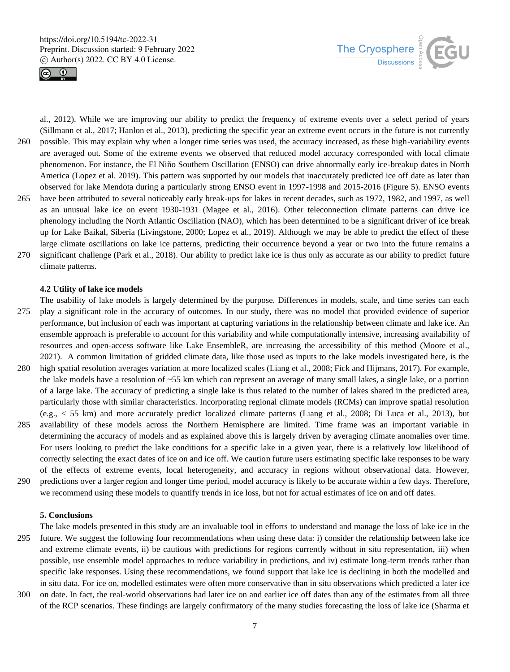



al., 2012). While we are improving our ability to predict the frequency of extreme events over a select period of years (Sillmann et al., 2017; Hanlon et al., 2013), predicting the specific year an extreme event occurs in the future is not currently 260 possible. This may explain why when a longer time series was used, the accuracy increased, as these high-variability events are averaged out. Some of the extreme events we observed that reduced model accuracy corresponded with local climate phenomenon. For instance, the El Niño Southern Oscillation (ENSO) can drive abnormally early ice-breakup dates in North America (Lopez et al. 2019). This pattern was supported by our models that inaccurately predicted ice off date as later than observed for lake Mendota during a particularly strong ENSO event in 1997-1998 and 2015-2016 (Figure 5). ENSO events 265 have been attributed to several noticeably early break-ups for lakes in recent decades, such as 1972, 1982, and 1997, as well as an unusual lake ice on event 1930-1931 (Magee et al., 2016). Other teleconnection climate patterns can drive ice phenology including the North Atlantic Oscillation (NAO), which has been determined to be a significant driver of ice break up for Lake Baikal, Siberia (Livingstone, 2000; Lopez et al., 2019). Although we may be able to predict the effect of these large climate oscillations on lake ice patterns, predicting their occurrence beyond a year or two into the future remains a 270 significant challenge (Park et al., 2018). Our ability to predict lake ice is thus only as accurate as our ability to predict future climate patterns.

#### **4.2 Utility of lake ice models**

- The usability of lake models is largely determined by the purpose. Differences in models, scale, and time series can each 275 play a significant role in the accuracy of outcomes. In our study, there was no model that provided evidence of superior performance, but inclusion of each was important at capturing variations in the relationship between climate and lake ice. An ensemble approach is preferable to account for this variability and while computationally intensive, increasing availability of resources and open-access software like Lake EnsembleR, are increasing the accessibility of this method (Moore et al., 2021). A common limitation of gridded climate data, like those used as inputs to the lake models investigated here, is the 280 high spatial resolution averages variation at more localized scales (Liang et al., 2008; Fick and Hijmans, 2017). For example,
- the lake models have a resolution of ~55 km which can represent an average of many small lakes, a single lake, or a portion of a large lake. The accuracy of predicting a single lake is thus related to the number of lakes shared in the predicted area, particularly those with similar characteristics. Incorporating regional climate models (RCMs) can improve spatial resolution (e.g., < 55 km) and more accurately predict localized climate patterns (Liang et al., 2008; Di Luca et al., 2013), but
- 285 availability of these models across the Northern Hemisphere are limited. Time frame was an important variable in determining the accuracy of models and as explained above this is largely driven by averaging climate anomalies over time. For users looking to predict the lake conditions for a specific lake in a given year, there is a relatively low likelihood of correctly selecting the exact dates of ice on and ice off. We caution future users estimating specific lake responses to be wary of the effects of extreme events, local heterogeneity, and accuracy in regions without observational data. However,
- 290 predictions over a larger region and longer time period, model accuracy is likely to be accurate within a few days. Therefore, we recommend using these models to quantify trends in ice loss, but not for actual estimates of ice on and off dates.

#### **5. Conclusions**

The lake models presented in this study are an invaluable tool in efforts to understand and manage the loss of lake ice in the 295 future. We suggest the following four recommendations when using these data: i) consider the relationship between lake ice and extreme climate events, ii) be cautious with predictions for regions currently without in situ representation, iii) when possible, use ensemble model approaches to reduce variability in predictions, and iv) estimate long-term trends rather than specific lake responses. Using these recommendations, we found support that lake ice is declining in both the modelled and in situ data. For ice on, modelled estimates were often more conservative than in situ observations which predicted a later ice

300 on date. In fact, the real-world observations had later ice on and earlier ice off dates than any of the estimates from all three of the RCP scenarios. These findings are largely confirmatory of the many studies forecasting the loss of lake ice (Sharma et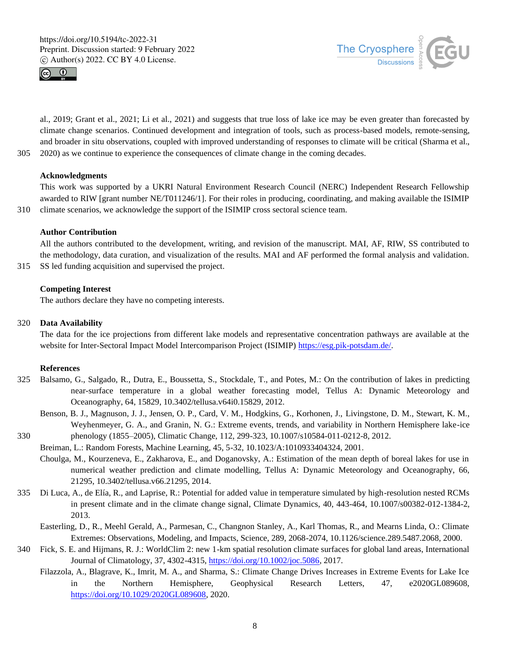



al., 2019; Grant et al., 2021; Li et al., 2021) and suggests that true loss of lake ice may be even greater than forecasted by climate change scenarios. Continued development and integration of tools, such as process-based models, remote-sensing, and broader in situ observations, coupled with improved understanding of responses to climate will be critical (Sharma et al., 305 2020) as we continue to experience the consequences of climate change in the coming decades.

#### **Acknowledgments**

This work was supported by a UKRI Natural Environment Research Council (NERC) Independent Research Fellowship awarded to RIW [grant number NE/T011246/1]. For their roles in producing, coordinating, and making available the ISIMIP 310 climate scenarios, we acknowledge the support of the ISIMIP cross sectoral science team.

#### **Author Contribution**

All the authors contributed to the development, writing, and revision of the manuscript. MAI, AF, RIW, SS contributed to the methodology, data curation, and visualization of the results. MAI and AF performed the formal analysis and validation. 315 SS led funding acquisition and supervised the project.

### **Competing Interest**

The authors declare they have no competing interests.

#### 320 **Data Availability**

The data for the ice projections from different lake models and representative concentration pathways are available at the website for Inter-Sectoral Impact Model Intercomparison Project (ISIMIP) https://esg.pik-potsdam.de/.

# **References**

- 325 Balsamo, G., Salgado, R., Dutra, E., Boussetta, S., Stockdale, T., and Potes, M.: On the contribution of lakes in predicting near-surface temperature in a global weather forecasting model, Tellus A: Dynamic Meteorology and Oceanography, 64, 15829, 10.3402/tellusa.v64i0.15829, 2012.
- Benson, B. J., Magnuson, J. J., Jensen, O. P., Card, V. M., Hodgkins, G., Korhonen, J., Livingstone, D. M., Stewart, K. M., Weyhenmeyer, G. A., and Granin, N. G.: Extreme events, trends, and variability in Northern Hemisphere lake-ice 330 phenology (1855–2005), Climatic Change, 112, 299-323, 10.1007/s10584-011-0212-8, 2012.
	- Breiman, L.: Random Forests, Machine Learning, 45, 5-32, 10.1023/A:1010933404324, 2001.
		- Choulga, M., Kourzeneva, E., Zakharova, E., and Doganovsky, A.: Estimation of the mean depth of boreal lakes for use in numerical weather prediction and climate modelling, Tellus A: Dynamic Meteorology and Oceanography, 66, 21295, 10.3402/tellusa.v66.21295, 2014.
- 335 Di Luca, A., de Elía, R., and Laprise, R.: Potential for added value in temperature simulated by high-resolution nested RCMs in present climate and in the climate change signal, Climate Dynamics, 40, 443-464, 10.1007/s00382-012-1384-2, 2013.
	- Easterling, D., R., Meehl Gerald, A., Parmesan, C., Changnon Stanley, A., Karl Thomas, R., and Mearns Linda, O.: Climate Extremes: Observations, Modeling, and Impacts, Science, 289, 2068-2074, 10.1126/science.289.5487.2068, 2000.
- 340 Fick, S. E. and Hijmans, R. J.: WorldClim 2: new 1-km spatial resolution climate surfaces for global land areas, International Journal of Climatology, 37, 4302-4315, https://doi.org/10.1002/joc.5086, 2017.
	- Filazzola, A., Blagrave, K., Imrit, M. A., and Sharma, S.: Climate Change Drives Increases in Extreme Events for Lake Ice in the Northern Hemisphere, Geophysical Research Letters, 47, e2020GL089608, https://doi.org/10.1029/2020GL089608, 2020.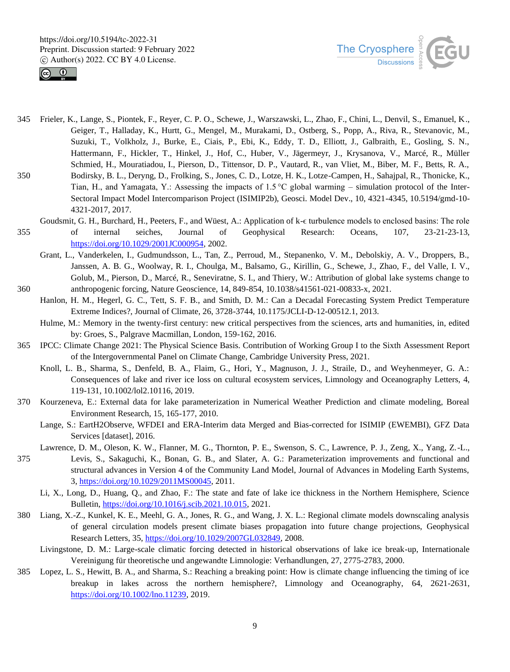



- 345 Frieler, K., Lange, S., Piontek, F., Reyer, C. P. O., Schewe, J., Warszawski, L., Zhao, F., Chini, L., Denvil, S., Emanuel, K., Geiger, T., Halladay, K., Hurtt, G., Mengel, M., Murakami, D., Ostberg, S., Popp, A., Riva, R., Stevanovic, M., Suzuki, T., Volkholz, J., Burke, E., Ciais, P., Ebi, K., Eddy, T. D., Elliott, J., Galbraith, E., Gosling, S. N., Hattermann, F., Hickler, T., Hinkel, J., Hof, C., Huber, V., Jägermeyr, J., Krysanova, V., Marcé, R., Müller Schmied, H., Mouratiadou, I., Pierson, D., Tittensor, D. P., Vautard, R., van Vliet, M., Biber, M. F., Betts, R. A., 350 Bodirsky, B. L., Deryng, D., Frolking, S., Jones, C. D., Lotze, H. K., Lotze-Campen, H., Sahajpal, R., Thonicke, K., Tian, H., and Yamagata, Y.: Assessing the impacts of 1.5 °C global warming – simulation protocol of the Inter-Sectoral Impact Model Intercomparison Project (ISIMIP2b), Geosci. Model Dev., 10, 4321-4345, 10.5194/gmd-10-
	- 4321-2017, 2017. Goudsmit, G. H., Burchard, H., Peeters, F., and Wüest, A.: Application of k-∈ turbulence models to enclosed basins: The role
- 355 of internal seiches, Journal of Geophysical Research: Oceans, 107, 23-21-23-13, https://doi.org/10.1029/2001JC000954, 2002.
- Grant, L., Vanderkelen, I., Gudmundsson, L., Tan, Z., Perroud, M., Stepanenko, V. M., Debolskiy, A. V., Droppers, B., Janssen, A. B. G., Woolway, R. I., Choulga, M., Balsamo, G., Kirillin, G., Schewe, J., Zhao, F., del Valle, I. V., Golub, M., Pierson, D., Marcé, R., Seneviratne, S. I., and Thiery, W.: Attribution of global lake systems change to 360 anthropogenic forcing, Nature Geoscience, 14, 849-854, 10.1038/s41561-021-00833-x, 2021.
	- Hanlon, H. M., Hegerl, G. C., Tett, S. F. B., and Smith, D. M.: Can a Decadal Forecasting System Predict Temperature Extreme Indices?, Journal of Climate, 26, 3728-3744, 10.1175/JCLI-D-12-00512.1, 2013.
		- Hulme, M.: Memory in the twenty-first century: new critical perspectives from the sciences, arts and humanities, in, edited by: Groes, S., Palgrave Macmillan, London, 159-162, 2016.
- 365 IPCC: Climate Change 2021: The Physical Science Basis. Contribution of Working Group I to the Sixth Assessment Report of the Intergovernmental Panel on Climate Change, Cambridge University Press, 2021.
	- Knoll, L. B., Sharma, S., Denfeld, B. A., Flaim, G., Hori, Y., Magnuson, J. J., Straile, D., and Weyhenmeyer, G. A.: Consequences of lake and river ice loss on cultural ecosystem services, Limnology and Oceanography Letters, 4, 119-131, 10.1002/lol2.10116, 2019.
- 370 Kourzeneva, E.: External data for lake parameterization in Numerical Weather Prediction and climate modeling, Boreal Environment Research, 15, 165-177, 2010.
	- Lange, S.: EartH2Observe, WFDEI and ERA-Interim data Merged and Bias-corrected for ISIMIP (EWEMBI), GFZ Data Services [dataset], 2016.
- Lawrence, D. M., Oleson, K. W., Flanner, M. G., Thornton, P. E., Swenson, S. C., Lawrence, P. J., Zeng, X., Yang, Z.-L., 375 Levis, S., Sakaguchi, K., Bonan, G. B., and Slater, A. G.: Parameterization improvements and functional and structural advances in Version 4 of the Community Land Model, Journal of Advances in Modeling Earth Systems, 3, https://doi.org/10.1029/2011MS00045, 2011.
	- Li, X., Long, D., Huang, Q., and Zhao, F.: The state and fate of lake ice thickness in the Northern Hemisphere, Science Bulletin, https://doi.org/10.1016/j.scib.2021.10.015, 2021.
- 380 Liang, X.-Z., Kunkel, K. E., Meehl, G. A., Jones, R. G., and Wang, J. X. L.: Regional climate models downscaling analysis of general circulation models present climate biases propagation into future change projections, Geophysical Research Letters, 35, https://doi.org/10.1029/2007GL032849, 2008.
	- Livingstone, D. M.: Large-scale climatic forcing detected in historical observations of lake ice break-up, Internationale Vereinigung für theoretische und angewandte Limnologie: Verhandlungen, 27, 2775-2783, 2000.
- 385 Lopez, L. S., Hewitt, B. A., and Sharma, S.: Reaching a breaking point: How is climate change influencing the timing of ice breakup in lakes across the northern hemisphere?, Limnology and Oceanography, 64, 2621-2631, https://doi.org/10.1002/lno.11239, 2019.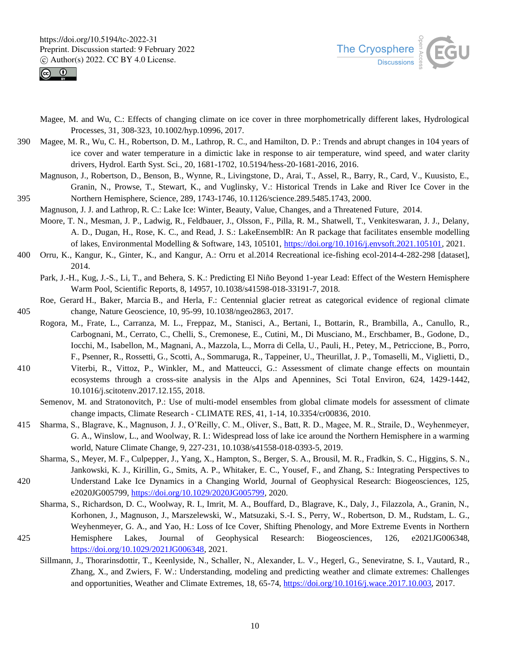



- Magee, M. and Wu, C.: Effects of changing climate on ice cover in three morphometrically different lakes, Hydrological Processes, 31, 308-323, 10.1002/hyp.10996, 2017.
- 390 Magee, M. R., Wu, C. H., Robertson, D. M., Lathrop, R. C., and Hamilton, D. P.: Trends and abrupt changes in 104 years of ice cover and water temperature in a dimictic lake in response to air temperature, wind speed, and water clarity drivers, Hydrol. Earth Syst. Sci., 20, 1681-1702, 10.5194/hess-20-1681-2016, 2016.
- Magnuson, J., Robertson, D., Benson, B., Wynne, R., Livingstone, D., Arai, T., Assel, R., Barry, R., Card, V., Kuusisto, E., Granin, N., Prowse, T., Stewart, K., and Vuglinsky, V.: Historical Trends in Lake and River Ice Cover in the 395 Northern Hemisphere, Science, 289, 1743-1746, 10.1126/science.289.5485.1743, 2000.
	- Magnuson, J. J. and Lathrop, R. C.: Lake Ice: Winter, Beauty, Value, Changes, and a Threatened Future, 2014.
	- Moore, T. N., Mesman, J. P., Ladwig, R., Feldbauer, J., Olsson, F., Pilla, R. M., Shatwell, T., Venkiteswaran, J. J., Delany, A. D., Dugan, H., Rose, K. C., and Read, J. S.: LakeEnsemblR: An R package that facilitates ensemble modelling of lakes, Environmental Modelling & Software, 143, 105101, https://doi.org/10.1016/j.envsoft.2021.105101, 2021.
- 400 Orru, K., Kangur, K., Ginter, K., and Kangur, A.: Orru et al.2014 Recreational ice-fishing ecol-2014-4-282-298 [dataset], 2014.
	- Park, J.-H., Kug, J.-S., Li, T., and Behera, S. K.: Predicting El Niño Beyond 1-year Lead: Effect of the Western Hemisphere Warm Pool, Scientific Reports, 8, 14957, 10.1038/s41598-018-33191-7, 2018.
- Roe, Gerard H., Baker, Marcia B., and Herla, F.: Centennial glacier retreat as categorical evidence of regional climate 405 change, Nature Geoscience, 10, 95-99, 10.1038/ngeo2863, 2017.
	- Rogora, M., Frate, L., Carranza, M. L., Freppaz, M., Stanisci, A., Bertani, I., Bottarin, R., Brambilla, A., Canullo, R., Carbognani, M., Cerrato, C., Chelli, S., Cremonese, E., Cutini, M., Di Musciano, M., Erschbamer, B., Godone, D., Iocchi, M., Isabellon, M., Magnani, A., Mazzola, L., Morra di Cella, U., Pauli, H., Petey, M., Petriccione, B., Porro, F., Psenner, R., Rossetti, G., Scotti, A., Sommaruga, R., Tappeiner, U., Theurillat, J. P., Tomaselli, M., Viglietti, D.,
- 410 Viterbi, R., Vittoz, P., Winkler, M., and Matteucci, G.: Assessment of climate change effects on mountain ecosystems through a cross-site analysis in the Alps and Apennines, Sci Total Environ, 624, 1429-1442, 10.1016/j.scitotenv.2017.12.155, 2018.
	- Semenov, M. and Stratonovitch, P.: Use of multi-model ensembles from global climate models for assessment of climate change impacts, Climate Research - CLIMATE RES, 41, 1-14, 10.3354/cr00836, 2010.
- 415 Sharma, S., Blagrave, K., Magnuson, J. J., O'Reilly, C. M., Oliver, S., Batt, R. D., Magee, M. R., Straile, D., Weyhenmeyer, G. A., Winslow, L., and Woolway, R. I.: Widespread loss of lake ice around the Northern Hemisphere in a warming world, Nature Climate Change, 9, 227-231, 10.1038/s41558-018-0393-5, 2019.
- Sharma, S., Meyer, M. F., Culpepper, J., Yang, X., Hampton, S., Berger, S. A., Brousil, M. R., Fradkin, S. C., Higgins, S. N., Jankowski, K. J., Kirillin, G., Smits, A. P., Whitaker, E. C., Yousef, F., and Zhang, S.: Integrating Perspectives to 420 Understand Lake Ice Dynamics in a Changing World, Journal of Geophysical Research: Biogeosciences, 125, e2020JG005799, https://doi.org/10.1029/2020JG005799, 2020.
- Sharma, S., Richardson, D. C., Woolway, R. I., Imrit, M. A., Bouffard, D., Blagrave, K., Daly, J., Filazzola, A., Granin, N., Korhonen, J., Magnuson, J., Marszelewski, W., Matsuzaki, S.-I. S., Perry, W., Robertson, D. M., Rudstam, L. G., Weyhenmeyer, G. A., and Yao, H.: Loss of Ice Cover, Shifting Phenology, and More Extreme Events in Northern 425 Hemisphere Lakes, Journal of Geophysical Research: Biogeosciences, 126, e2021JG006348, https://doi.org/10.1029/2021JG006348, 2021.
	- Sillmann, J., Thorarinsdottir, T., Keenlyside, N., Schaller, N., Alexander, L. V., Hegerl, G., Seneviratne, S. I., Vautard, R., Zhang, X., and Zwiers, F. W.: Understanding, modeling and predicting weather and climate extremes: Challenges and opportunities, Weather and Climate Extremes, 18, 65-74, https://doi.org/10.1016/j.wace.2017.10.003, 2017.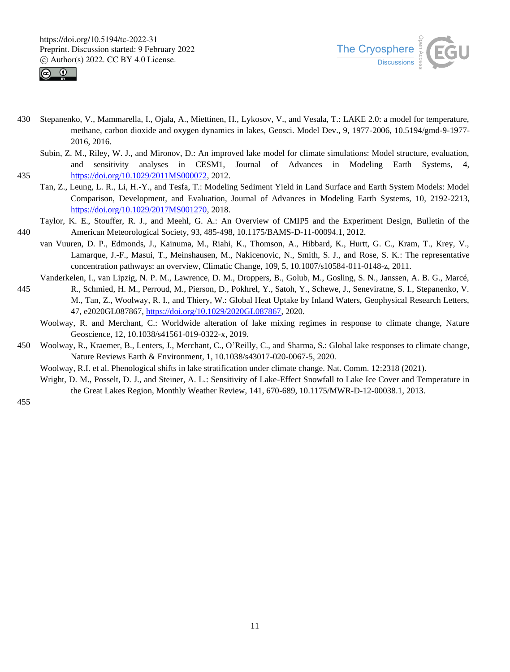



- 430 Stepanenko, V., Mammarella, I., Ojala, A., Miettinen, H., Lykosov, V., and Vesala, T.: LAKE 2.0: a model for temperature, methane, carbon dioxide and oxygen dynamics in lakes, Geosci. Model Dev., 9, 1977-2006, 10.5194/gmd-9-1977- 2016, 2016.
- Subin, Z. M., Riley, W. J., and Mironov, D.: An improved lake model for climate simulations: Model structure, evaluation, and sensitivity analyses in CESM1, Journal of Advances in Modeling Earth Systems, 4, 435 https://doi.org/10.1029/2011MS000072, 2012.
	- Tan, Z., Leung, L. R., Li, H.-Y., and Tesfa, T.: Modeling Sediment Yield in Land Surface and Earth System Models: Model Comparison, Development, and Evaluation, Journal of Advances in Modeling Earth Systems, 10, 2192-2213, https://doi.org/10.1029/2017MS001270, 2018.
- Taylor, K. E., Stouffer, R. J., and Meehl, G. A.: An Overview of CMIP5 and the Experiment Design, Bulletin of the 440 American Meteorological Society, 93, 485-498, 10.1175/BAMS-D-11-00094.1, 2012.
	- van Vuuren, D. P., Edmonds, J., Kainuma, M., Riahi, K., Thomson, A., Hibbard, K., Hurtt, G. C., Kram, T., Krey, V., Lamarque, J.-F., Masui, T., Meinshausen, M., Nakicenovic, N., Smith, S. J., and Rose, S. K.: The representative concentration pathways: an overview, Climatic Change, 109, 5, 10.1007/s10584-011-0148-z, 2011.
- Vanderkelen, I., van Lipzig, N. P. M., Lawrence, D. M., Droppers, B., Golub, M., Gosling, S. N., Janssen, A. B. G., Marcé, 445 R., Schmied, H. M., Perroud, M., Pierson, D., Pokhrel, Y., Satoh, Y., Schewe, J., Seneviratne, S. I., Stepanenko, V. M., Tan, Z., Woolway, R. I., and Thiery, W.: Global Heat Uptake by Inland Waters, Geophysical Research Letters, 47, e2020GL087867, https://doi.org/10.1029/2020GL087867, 2020.
	- Woolway, R. and Merchant, C.: Worldwide alteration of lake mixing regimes in response to climate change, Nature Geoscience, 12, 10.1038/s41561-019-0322-x, 2019.
- 450 Woolway, R., Kraemer, B., Lenters, J., Merchant, C., O'Reilly, C., and Sharma, S.: Global lake responses to climate change, Nature Reviews Earth & Environment, 1, 10.1038/s43017-020-0067-5, 2020.

Woolway, R.I. et al. Phenological shifts in lake stratification under climate change. Nat. Comm. 12:2318 (2021).

Wright, D. M., Posselt, D. J., and Steiner, A. L.: Sensitivity of Lake-Effect Snowfall to Lake Ice Cover and Temperature in the Great Lakes Region, Monthly Weather Review, 141, 670-689, 10.1175/MWR-D-12-00038.1, 2013.

455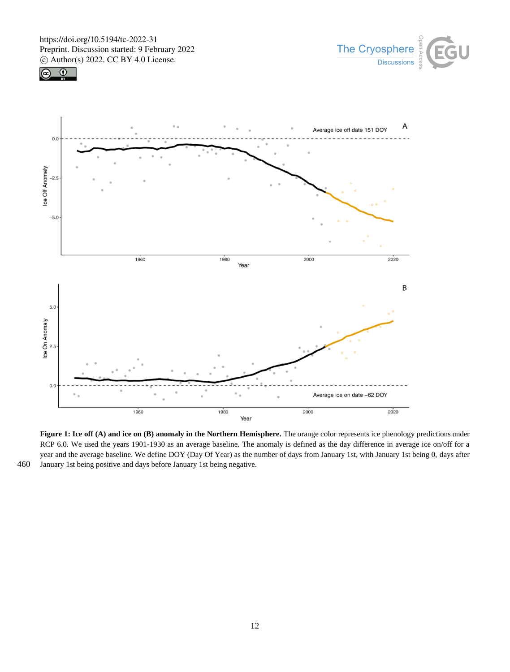





**Figure 1: Ice off (A) and ice on (B) anomaly in the Northern Hemisphere.** The orange color represents ice phenology predictions under RCP 6.0. We used the years 1901-1930 as an average baseline. The anomaly is defined as the day difference in average ice on/off for a year and the average baseline. We define DOY (Day Of Year) as the number of days from January 1st, with January 1st being 0, days after 460 January 1st being positive and days before January 1st being negative.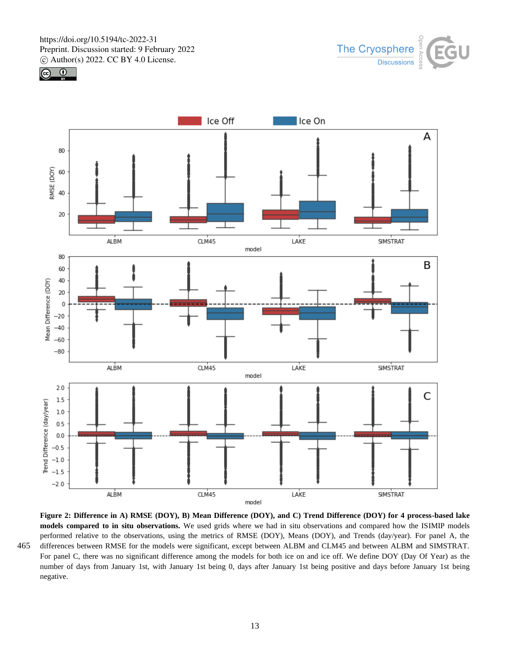





**Figure 2: Difference in A) RMSE (DOY), B) Mean Difference (DOY), and C) Trend Difference (DOY) for 4 process-based lake models compared to in situ observations.** We used grids where we had in situ observations and compared how the ISIMIP models performed relative to the observations, using the metrics of RMSE (DOY), Means (DOY), and Trends (day/year). For panel A, the 465 differences between RMSE for the models were significant, except between ALBM and CLM45 and between ALBM and SIMSTRAT. For panel C, there was no significant difference among the models for both ice on and ice off. We define DOY (Day Of Year) as the number of days from January 1st, with January 1st being 0, days after January 1st being positive and days before January 1st being negative.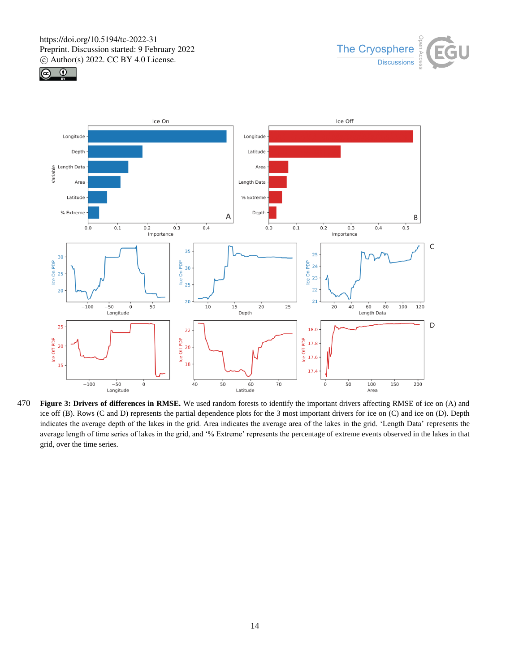





470 **Figure 3: Drivers of differences in RMSE.** We used random forests to identify the important drivers affecting RMSE of ice on (A) and ice off (B). Rows (C and D) represents the partial dependence plots for the 3 most important drivers for ice on (C) and ice on (D). Depth indicates the average depth of the lakes in the grid. Area indicates the average area of the lakes in the grid. 'Length Data' represents the average length of time series of lakes in the grid, and '% Extreme' represents the percentage of extreme events observed in the lakes in that grid, over the time series.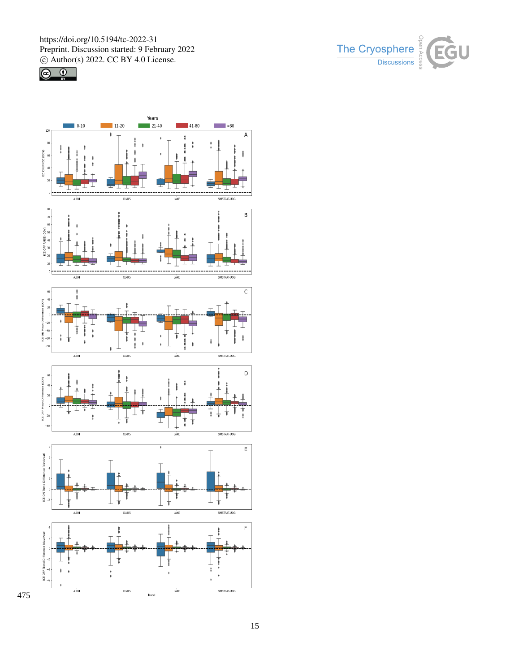